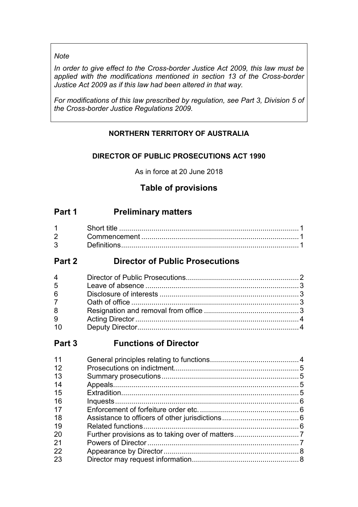# *Note*

*In order to give effect to the Cross-border Justice Act 2009, this law must be applied with the modifications mentioned in section 13 of the Cross-border Justice Act 2009 as if this law had been altered in that way.*

*For modifications of this law prescribed by regulation, see Part 3, Division 5 of the Cross-border Justice Regulations 2009.*

# **NORTHERN TERRITORY OF AUSTRALIA**

# **DIRECTOR OF PUBLIC PROSECUTIONS ACT 1990**

As in force at 20 June 2018

# **Table of provisions**

# **Part 1 Preliminary matters**

| $2 \left( \frac{1}{2} \right)$ |  |
|--------------------------------|--|
| $3^{\circ}$                    |  |

# **Part 2 Director of Public Prosecutions**

| $4 \quad$       |  |
|-----------------|--|
| 5               |  |
| $6\overline{6}$ |  |
| $7^{\circ}$     |  |
| 8               |  |
| 9               |  |
| 10              |  |

# **Part 3 Functions of Director**

| 11 |  |
|----|--|
| 12 |  |
| 13 |  |
| 14 |  |
| 15 |  |
| 16 |  |
| 17 |  |
| 18 |  |
| 19 |  |
| 20 |  |
| 21 |  |
| 22 |  |
| 23 |  |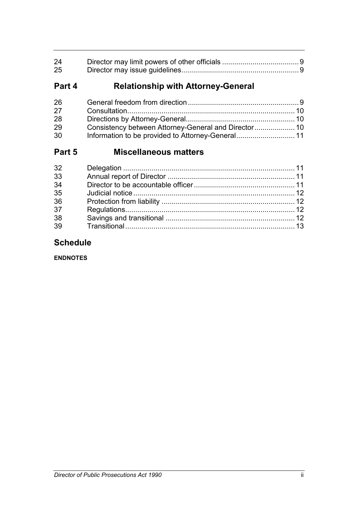| 24 |  |
|----|--|
| 25 |  |

# **Part 4 Relationship with Attorney-General**

| 26 |  |
|----|--|
| 27 |  |
| 28 |  |
| 29 |  |
| 30 |  |

# **Part 5 Miscellaneous matters**

| 32 |  |
|----|--|
| 33 |  |
| 34 |  |
| 35 |  |
| 36 |  |
| 37 |  |
| 38 |  |
| 39 |  |
|    |  |

# **Schedule**

**ENDNOTES**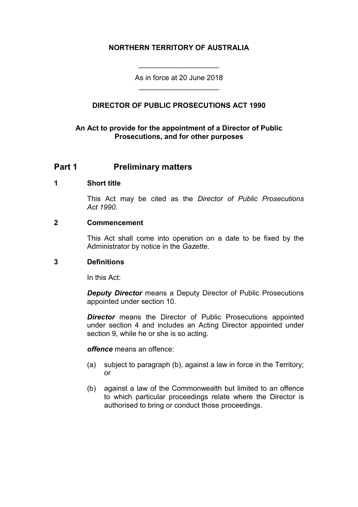# **NORTHERN TERRITORY OF AUSTRALIA**

As in force at 20 June 2018 \_\_\_\_\_\_\_\_\_\_\_\_\_\_\_\_\_\_\_\_

\_\_\_\_\_\_\_\_\_\_\_\_\_\_\_\_\_\_\_\_

# **DIRECTOR OF PUBLIC PROSECUTIONS ACT 1990**

# **An Act to provide for the appointment of a Director of Public Prosecutions, and for other purposes**

# **Part 1 Preliminary matters**

### **1 Short title**

This Act may be cited as the *Director of Public Prosecutions Act 1990*.

# **2 Commencement**

This Act shall come into operation on a date to be fixed by the Administrator by notice in the *Gazette*.

#### **3 Definitions**

In this Act:

*Deputy Director* means a Deputy Director of Public Prosecutions appointed under section 10.

*Director* means the Director of Public Prosecutions appointed under section 4 and includes an Acting Director appointed under section 9, while he or she is so acting.

*offence* means an offence:

- (a) subject to paragraph (b), against a law in force in the Territory; or
- (b) against a law of the Commonwealth but limited to an offence to which particular proceedings relate where the Director is authorised to bring or conduct those proceedings.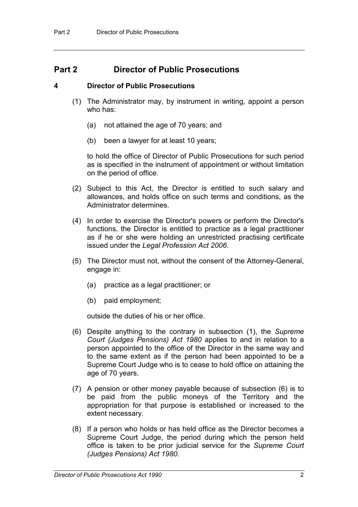# **Part 2 Director of Public Prosecutions**

# **4 Director of Public Prosecutions**

- (1) The Administrator may, by instrument in writing, appoint a person who has:
	- (a) not attained the age of 70 years; and
	- (b) been a lawyer for at least 10 years;

to hold the office of Director of Public Prosecutions for such period as is specified in the instrument of appointment or without limitation on the period of office.

- (2) Subject to this Act, the Director is entitled to such salary and allowances, and holds office on such terms and conditions, as the Administrator determines.
- (4) In order to exercise the Director's powers or perform the Director's functions, the Director is entitled to practice as a legal practitioner as if he or she were holding an unrestricted practising certificate issued under the *Legal Profession Act 2006*.
- (5) The Director must not, without the consent of the Attorney-General, engage in:
	- (a) practice as a legal practitioner; or
	- (b) paid employment;

outside the duties of his or her office.

- (6) Despite anything to the contrary in subsection (1), the *Supreme Court (Judges Pensions) Act 1980* applies to and in relation to a person appointed to the office of the Director in the same way and to the same extent as if the person had been appointed to be a Supreme Court Judge who is to cease to hold office on attaining the age of 70 years.
- (7) A pension or other money payable because of subsection (6) is to be paid from the public moneys of the Territory and the appropriation for that purpose is established or increased to the extent necessary.
- (8) If a person who holds or has held office as the Director becomes a Supreme Court Judge, the period during which the person held office is taken to be prior judicial service for the *Supreme Court (Judges Pensions) Act 1980*.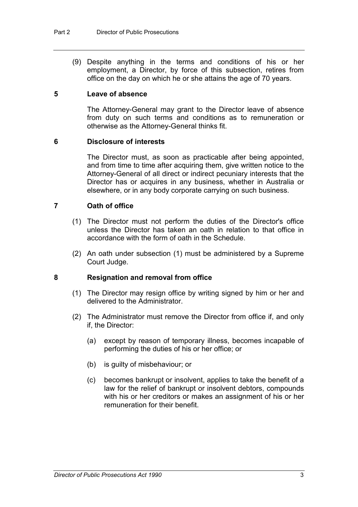(9) Despite anything in the terms and conditions of his or her employment, a Director, by force of this subsection, retires from office on the day on which he or she attains the age of 70 years.

# **5 Leave of absence**

The Attorney-General may grant to the Director leave of absence from duty on such terms and conditions as to remuneration or otherwise as the Attorney-General thinks fit.

#### **6 Disclosure of interests**

The Director must, as soon as practicable after being appointed, and from time to time after acquiring them, give written notice to the Attorney-General of all direct or indirect pecuniary interests that the Director has or acquires in any business, whether in Australia or elsewhere, or in any body corporate carrying on such business.

# **7 Oath of office**

- (1) The Director must not perform the duties of the Director's office unless the Director has taken an oath in relation to that office in accordance with the form of oath in the Schedule.
- (2) An oath under subsection (1) must be administered by a Supreme Court Judge.

#### **8 Resignation and removal from office**

- (1) The Director may resign office by writing signed by him or her and delivered to the Administrator.
- (2) The Administrator must remove the Director from office if, and only if, the Director:
	- (a) except by reason of temporary illness, becomes incapable of performing the duties of his or her office; or
	- (b) is guilty of misbehaviour; or
	- (c) becomes bankrupt or insolvent, applies to take the benefit of a law for the relief of bankrupt or insolvent debtors, compounds with his or her creditors or makes an assignment of his or her remuneration for their benefit.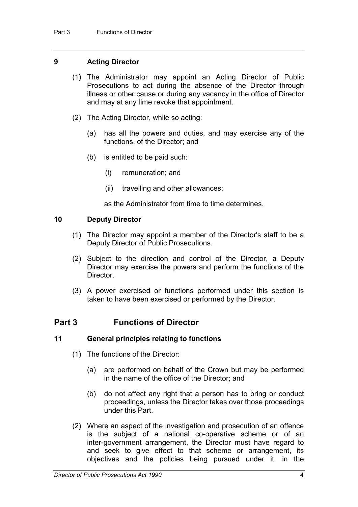# **9 Acting Director**

- (1) The Administrator may appoint an Acting Director of Public Prosecutions to act during the absence of the Director through illness or other cause or during any vacancy in the office of Director and may at any time revoke that appointment.
- (2) The Acting Director, while so acting:
	- (a) has all the powers and duties, and may exercise any of the functions, of the Director; and
	- (b) is entitled to be paid such:
		- (i) remuneration; and
		- (ii) travelling and other allowances;

as the Administrator from time to time determines.

# **10 Deputy Director**

- (1) The Director may appoint a member of the Director's staff to be a Deputy Director of Public Prosecutions.
- (2) Subject to the direction and control of the Director, a Deputy Director may exercise the powers and perform the functions of the Director.
- (3) A power exercised or functions performed under this section is taken to have been exercised or performed by the Director.

# **Part 3 Functions of Director**

# **11 General principles relating to functions**

- (1) The functions of the Director:
	- (a) are performed on behalf of the Crown but may be performed in the name of the office of the Director; and
	- (b) do not affect any right that a person has to bring or conduct proceedings, unless the Director takes over those proceedings under this Part.
- (2) Where an aspect of the investigation and prosecution of an offence is the subject of a national co-operative scheme or of an inter-government arrangement, the Director must have regard to and seek to give effect to that scheme or arrangement, its objectives and the policies being pursued under it, in the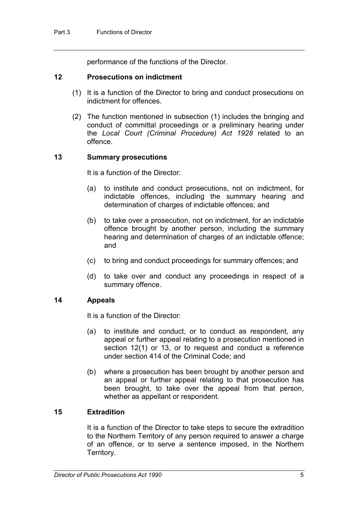performance of the functions of the Director.

#### **12 Prosecutions on indictment**

- (1) It is a function of the Director to bring and conduct prosecutions on indictment for offences.
- (2) The function mentioned in subsection (1) includes the bringing and conduct of committal proceedings or a preliminary hearing under the *Local Court (Criminal Procedure) Act 1928* related to an offence.

# **13 Summary prosecutions**

It is a function of the Director:

- (a) to institute and conduct prosecutions, not on indictment, for indictable offences, including the summary hearing and determination of charges of indictable offences; and
- (b) to take over a prosecution, not on indictment, for an indictable offence brought by another person, including the summary hearing and determination of charges of an indictable offence; and
- (c) to bring and conduct proceedings for summary offences; and
- (d) to take over and conduct any proceedings in respect of a summary offence.

# **14 Appeals**

It is a function of the Director:

- (a) to institute and conduct, or to conduct as respondent, any appeal or further appeal relating to a prosecution mentioned in section 12(1) or 13, or to request and conduct a reference under section 414 of the Criminal Code; and
- (b) where a prosecution has been brought by another person and an appeal or further appeal relating to that prosecution has been brought, to take over the appeal from that person, whether as appellant or respondent.

# **15 Extradition**

It is a function of the Director to take steps to secure the extradition to the Northern Territory of any person required to answer a charge of an offence, or to serve a sentence imposed, in the Northern Territory.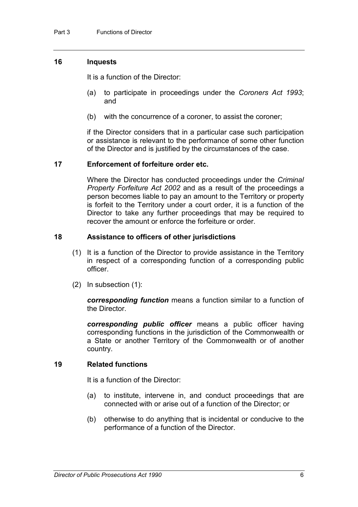# **16 Inquests**

It is a function of the Director:

- (a) to participate in proceedings under the *Coroners Act 1993*; and
- (b) with the concurrence of a coroner, to assist the coroner;

if the Director considers that in a particular case such participation or assistance is relevant to the performance of some other function of the Director and is justified by the circumstances of the case.

#### **17 Enforcement of forfeiture order etc.**

Where the Director has conducted proceedings under the *Criminal Property Forfeiture Act 2002* and as a result of the proceedings a person becomes liable to pay an amount to the Territory or property is forfeit to the Territory under a court order, it is a function of the Director to take any further proceedings that may be required to recover the amount or enforce the forfeiture or order.

#### **18 Assistance to officers of other jurisdictions**

- (1) It is a function of the Director to provide assistance in the Territory in respect of a corresponding function of a corresponding public officer.
- (2) In subsection (1):

*corresponding function* means a function similar to a function of the Director.

*corresponding public officer* means a public officer having corresponding functions in the jurisdiction of the Commonwealth or a State or another Territory of the Commonwealth or of another country.

# **19 Related functions**

It is a function of the Director:

- (a) to institute, intervene in, and conduct proceedings that are connected with or arise out of a function of the Director; or
- (b) otherwise to do anything that is incidental or conducive to the performance of a function of the Director.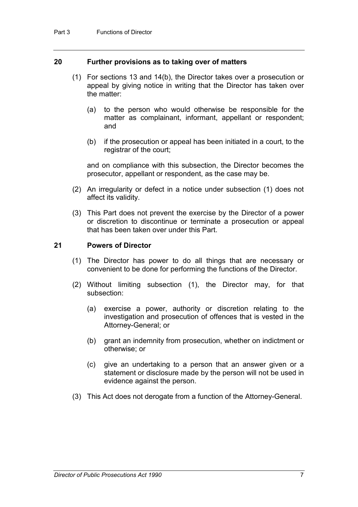#### **20 Further provisions as to taking over of matters**

- (1) For sections 13 and 14(b), the Director takes over a prosecution or appeal by giving notice in writing that the Director has taken over the matter:
	- (a) to the person who would otherwise be responsible for the matter as complainant, informant, appellant or respondent; and
	- (b) if the prosecution or appeal has been initiated in a court, to the registrar of the court;

and on compliance with this subsection, the Director becomes the prosecutor, appellant or respondent, as the case may be.

- (2) An irregularity or defect in a notice under subsection (1) does not affect its validity.
- (3) This Part does not prevent the exercise by the Director of a power or discretion to discontinue or terminate a prosecution or appeal that has been taken over under this Part.

#### **21 Powers of Director**

- (1) The Director has power to do all things that are necessary or convenient to be done for performing the functions of the Director.
- (2) Without limiting subsection (1), the Director may, for that subsection:
	- (a) exercise a power, authority or discretion relating to the investigation and prosecution of offences that is vested in the Attorney-General; or
	- (b) grant an indemnity from prosecution, whether on indictment or otherwise; or
	- (c) give an undertaking to a person that an answer given or a statement or disclosure made by the person will not be used in evidence against the person.
- (3) This Act does not derogate from a function of the Attorney-General.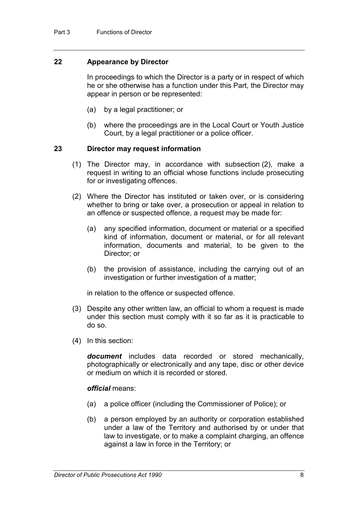# **22 Appearance by Director**

In proceedings to which the Director is a party or in respect of which he or she otherwise has a function under this Part, the Director may appear in person or be represented:

- (a) by a legal practitioner; or
- (b) where the proceedings are in the Local Court or Youth Justice Court, by a legal practitioner or a police officer.

#### **23 Director may request information**

- (1) The Director may, in accordance with subsection (2), make a request in writing to an official whose functions include prosecuting for or investigating offences.
- (2) Where the Director has instituted or taken over, or is considering whether to bring or take over, a prosecution or appeal in relation to an offence or suspected offence, a request may be made for:
	- (a) any specified information, document or material or a specified kind of information, document or material, or for all relevant information, documents and material, to be given to the Director; or
	- (b) the provision of assistance, including the carrying out of an investigation or further investigation of a matter;

in relation to the offence or suspected offence.

- (3) Despite any other written law, an official to whom a request is made under this section must comply with it so far as it is practicable to do so.
- (4) In this section:

*document* includes data recorded or stored mechanically, photographically or electronically and any tape, disc or other device or medium on which it is recorded or stored.

#### *official* means:

- (a) a police officer (including the Commissioner of Police); or
- (b) a person employed by an authority or corporation established under a law of the Territory and authorised by or under that law to investigate, or to make a complaint charging, an offence against a law in force in the Territory; or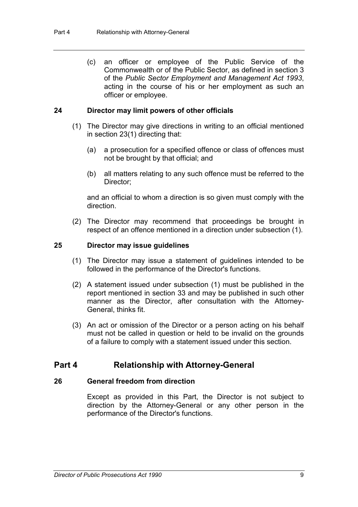(c) an officer or employee of the Public Service of the Commonwealth or of the Public Sector, as defined in section 3 of the *Public Sector Employment and Management Act 1993*, acting in the course of his or her employment as such an officer or employee.

### **24 Director may limit powers of other officials**

- (1) The Director may give directions in writing to an official mentioned in section 23(1) directing that:
	- (a) a prosecution for a specified offence or class of offences must not be brought by that official; and
	- (b) all matters relating to any such offence must be referred to the Director;

and an official to whom a direction is so given must comply with the direction.

(2) The Director may recommend that proceedings be brought in respect of an offence mentioned in a direction under subsection (1).

#### **25 Director may issue guidelines**

- (1) The Director may issue a statement of guidelines intended to be followed in the performance of the Director's functions.
- (2) A statement issued under subsection (1) must be published in the report mentioned in section 33 and may be published in such other manner as the Director, after consultation with the Attorney-General, thinks fit.
- (3) An act or omission of the Director or a person acting on his behalf must not be called in question or held to be invalid on the grounds of a failure to comply with a statement issued under this section.

# **Part 4 Relationship with Attorney-General**

#### **26 General freedom from direction**

Except as provided in this Part, the Director is not subject to direction by the Attorney-General or any other person in the performance of the Director's functions.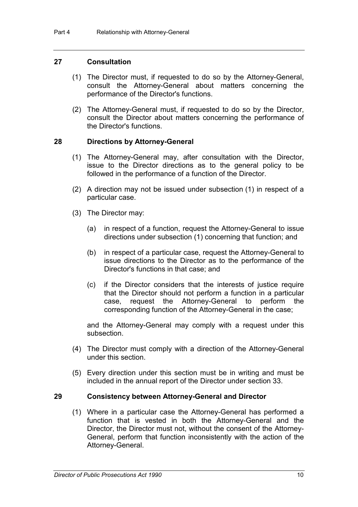#### **27 Consultation**

- (1) The Director must, if requested to do so by the Attorney-General, consult the Attorney-General about matters concerning the performance of the Director's functions.
- (2) The Attorney-General must, if requested to do so by the Director, consult the Director about matters concerning the performance of the Director's functions.

#### **28 Directions by Attorney-General**

- (1) The Attorney-General may, after consultation with the Director, issue to the Director directions as to the general policy to be followed in the performance of a function of the Director.
- (2) A direction may not be issued under subsection (1) in respect of a particular case.
- (3) The Director may:
	- (a) in respect of a function, request the Attorney-General to issue directions under subsection (1) concerning that function; and
	- (b) in respect of a particular case, request the Attorney-General to issue directions to the Director as to the performance of the Director's functions in that case; and
	- (c) if the Director considers that the interests of justice require that the Director should not perform a function in a particular case, request the Attorney-General to perform the corresponding function of the Attorney-General in the case;

and the Attorney-General may comply with a request under this subsection.

- (4) The Director must comply with a direction of the Attorney-General under this section.
- (5) Every direction under this section must be in writing and must be included in the annual report of the Director under section 33.

#### **29 Consistency between Attorney-General and Director**

(1) Where in a particular case the Attorney-General has performed a function that is vested in both the Attorney-General and the Director, the Director must not, without the consent of the Attorney-General, perform that function inconsistently with the action of the Attorney-General.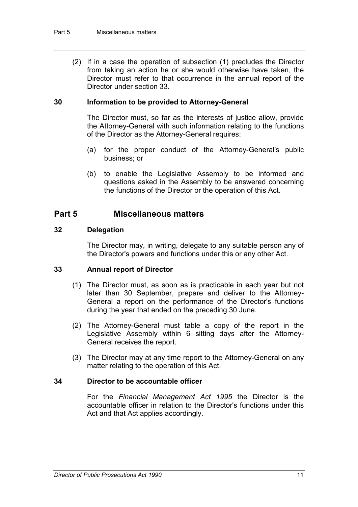(2) If in a case the operation of subsection (1) precludes the Director from taking an action he or she would otherwise have taken, the Director must refer to that occurrence in the annual report of the Director under section 33.

# **30 Information to be provided to Attorney-General**

The Director must, so far as the interests of justice allow, provide the Attorney-General with such information relating to the functions of the Director as the Attorney-General requires:

- (a) for the proper conduct of the Attorney-General's public business; or
- (b) to enable the Legislative Assembly to be informed and questions asked in the Assembly to be answered concerning the functions of the Director or the operation of this Act.

# **Part 5 Miscellaneous matters**

# **32 Delegation**

The Director may, in writing, delegate to any suitable person any of the Director's powers and functions under this or any other Act.

# **33 Annual report of Director**

- (1) The Director must, as soon as is practicable in each year but not later than 30 September, prepare and deliver to the Attorney-General a report on the performance of the Director's functions during the year that ended on the preceding 30 June.
- (2) The Attorney-General must table a copy of the report in the Legislative Assembly within 6 sitting days after the Attorney-General receives the report.
- (3) The Director may at any time report to the Attorney-General on any matter relating to the operation of this Act.

# **34 Director to be accountable officer**

For the *Financial Management Act 1995* the Director is the accountable officer in relation to the Director's functions under this Act and that Act applies accordingly.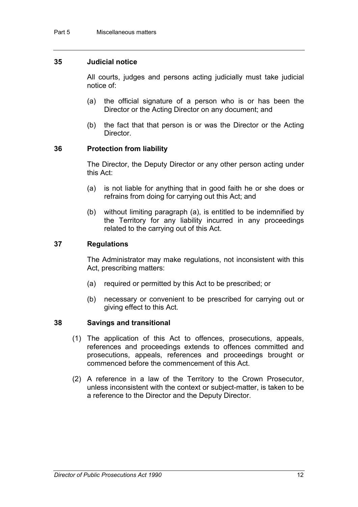# **35 Judicial notice**

All courts, judges and persons acting judicially must take judicial notice of:

- (a) the official signature of a person who is or has been the Director or the Acting Director on any document; and
- (b) the fact that that person is or was the Director or the Acting Director.

#### **36 Protection from liability**

The Director, the Deputy Director or any other person acting under this Act:

- (a) is not liable for anything that in good faith he or she does or refrains from doing for carrying out this Act; and
- (b) without limiting paragraph (a), is entitled to be indemnified by the Territory for any liability incurred in any proceedings related to the carrying out of this Act.

# **37 Regulations**

The Administrator may make regulations, not inconsistent with this Act, prescribing matters:

- (a) required or permitted by this Act to be prescribed; or
- (b) necessary or convenient to be prescribed for carrying out or giving effect to this Act.

#### **38 Savings and transitional**

- (1) The application of this Act to offences, prosecutions, appeals, references and proceedings extends to offences committed and prosecutions, appeals, references and proceedings brought or commenced before the commencement of this Act.
- (2) A reference in a law of the Territory to the Crown Prosecutor, unless inconsistent with the context or subject-matter, is taken to be a reference to the Director and the Deputy Director.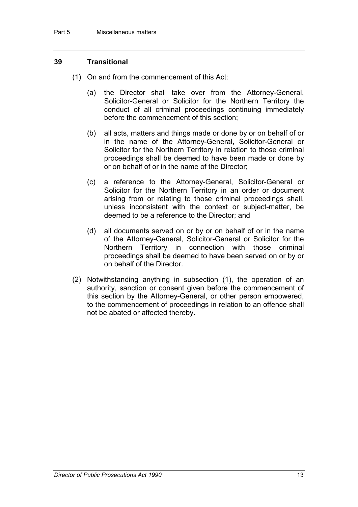# **39 Transitional**

- (1) On and from the commencement of this Act:
	- (a) the Director shall take over from the Attorney-General, Solicitor-General or Solicitor for the Northern Territory the conduct of all criminal proceedings continuing immediately before the commencement of this section;
	- (b) all acts, matters and things made or done by or on behalf of or in the name of the Attorney-General, Solicitor-General or Solicitor for the Northern Territory in relation to those criminal proceedings shall be deemed to have been made or done by or on behalf of or in the name of the Director;
	- (c) a reference to the Attorney-General, Solicitor-General or Solicitor for the Northern Territory in an order or document arising from or relating to those criminal proceedings shall, unless inconsistent with the context or subject-matter, be deemed to be a reference to the Director; and
	- (d) all documents served on or by or on behalf of or in the name of the Attorney-General, Solicitor-General or Solicitor for the Northern Territory in connection with those criminal proceedings shall be deemed to have been served on or by or on behalf of the Director.
- (2) Notwithstanding anything in subsection (1), the operation of an authority, sanction or consent given before the commencement of this section by the Attorney-General, or other person empowered, to the commencement of proceedings in relation to an offence shall not be abated or affected thereby.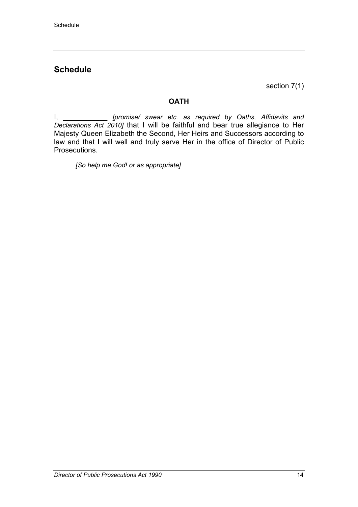# **Schedule**

section 7(1)

# **OATH**

I, \_\_\_\_\_\_\_\_\_\_\_ *[promise/ swear etc. as required by Oaths, Affidavits and Declarations Act 2010]* that I will be faithful and bear true allegiance to Her Majesty Queen Elizabeth the Second, Her Heirs and Successors according to law and that I will well and truly serve Her in the office of Director of Public Prosecutions.

*[So help me God! or as appropriate]*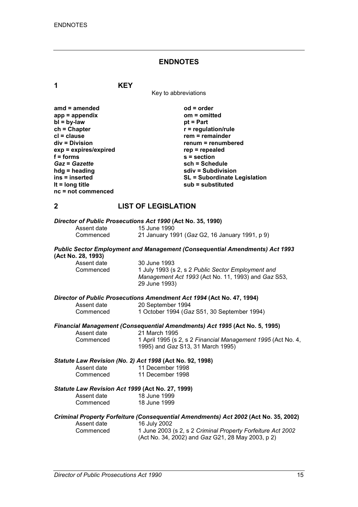### **ENDNOTES**

| 1                                                                                                                                                                                                                                                         | <b>KEY</b>                                                                                                                                                                                                                                             |
|-----------------------------------------------------------------------------------------------------------------------------------------------------------------------------------------------------------------------------------------------------------|--------------------------------------------------------------------------------------------------------------------------------------------------------------------------------------------------------------------------------------------------------|
|                                                                                                                                                                                                                                                           | Key to abbreviations                                                                                                                                                                                                                                   |
| $amd = amended$<br>$app = appendix$<br>$bl = by-law$<br>$ch = Chapter$<br>$cl = clause$<br>div = Division<br>exp = expires/expired<br>$f =$ forms<br><b>Gaz = Gazette</b><br>$hdg =$ heading<br>ins = inserted<br>It = $long$ title<br>nc = not commenced | od = order<br>om = omitted<br>$pt = Part$<br>$r =$ regulation/rule<br>$rem = remainder$<br>renum = renumbered<br>$rep = repeated$<br>$s =$ section<br>sch = Schedule<br>sdiv = Subdivision<br><b>SL = Subordinate Legislation</b><br>sub = substituted |
| $\boldsymbol{2}$                                                                                                                                                                                                                                          | <b>LIST OF LEGISLATION</b>                                                                                                                                                                                                                             |
| Assent date<br>Commenced                                                                                                                                                                                                                                  | Director of Public Prosecutions Act 1990 (Act No. 35, 1990)<br>15 June 1990<br>21 January 1991 (Gaz G2, 16 January 1991, p 9)                                                                                                                          |
| (Act No. 28, 1993)<br>Assent date<br>Commenced                                                                                                                                                                                                            | <b>Public Sector Employment and Management (Consequential Amendments) Act 1993</b><br>30 June 1993<br>1 July 1993 (s 2, s 2 Public Sector Employment and<br>Management Act 1993 (Act No. 11, 1993) and Gaz S53,<br>29 June 1993)                       |
| Assent date<br>Commenced                                                                                                                                                                                                                                  | Director of Public Prosecutions Amendment Act 1994 (Act No. 47, 1994)<br>20 September 1994<br>1 October 1994 (Gaz S51, 30 September 1994)                                                                                                              |
| Assent date<br>Commenced                                                                                                                                                                                                                                  | Financial Management (Consequential Amendments) Act 1995 (Act No. 5, 1995)<br>21 March 1995<br>1 April 1995 (s 2, s 2 Financial Management 1995 (Act No. 4,<br>1995) and Gaz S13, 31 March 1995)                                                       |
|                                                                                                                                                                                                                                                           | Statute Law Revision (No. 2) Act 1998 (Act No. 92, 1998)<br>Assent date 11 December 1998                                                                                                                                                               |

Assent date 11 December 1998 Commenced 11 December 1998

#### *Statute Law Revision Act 1999* **(Act No. 27, 1999)**

| Assent date | 18 June 1999 |
|-------------|--------------|
| Commenced   | 18 June 1999 |

#### *Criminal Property Forfeiture (Consequential Amendments) Act 2002* **(Act No. 35, 2002)**  $\dot{ }$  16 July 2002  $Commenced$

| 1 June 2003 (s 2, s 2 Criminal Property Forfeiture Act 2002 |
|-------------------------------------------------------------|
| (Act No. 34, 2002) and Gaz G21, 28 May 2003, p 2)           |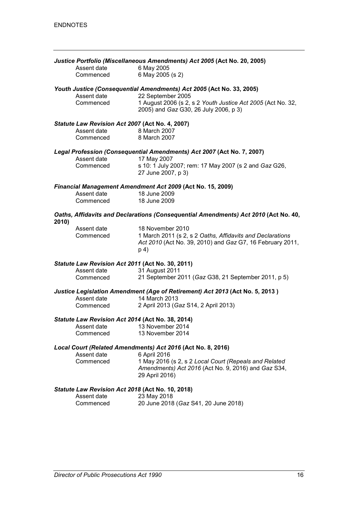| Justice Portfolio (Miscellaneous Amendments) Act 2005 (Act No. 20, 2005)<br>6 May 2005<br>Assent date |                                                  |                                                                                                                                                          |  |
|-------------------------------------------------------------------------------------------------------|--------------------------------------------------|----------------------------------------------------------------------------------------------------------------------------------------------------------|--|
|                                                                                                       | Commenced                                        | 6 May 2005 (s 2)                                                                                                                                         |  |
|                                                                                                       | Assent date<br>Commenced                         | Youth Justice (Consequential Amendments) Act 2005 (Act No. 33, 2005)<br>22 September 2005<br>1 August 2006 (s 2, s 2 Youth Justice Act 2005 (Act No. 32, |  |
|                                                                                                       |                                                  | 2005) and Gaz G30, 26 July 2006, p 3)                                                                                                                    |  |
|                                                                                                       | Statute Law Revision Act 2007 (Act No. 4, 2007)  |                                                                                                                                                          |  |
|                                                                                                       | Assent date<br>Commenced 8 March 2007            | 8 March 2007                                                                                                                                             |  |
|                                                                                                       |                                                  | Legal Profession (Consequential Amendments) Act 2007 (Act No. 7, 2007)                                                                                   |  |
|                                                                                                       | Assent date<br>Commenced                         | 17 May 2007<br>s 10: 1 July 2007; rem: 17 May 2007 (s 2 and Gaz G26,<br>27 June 2007, p 3)                                                               |  |
|                                                                                                       |                                                  | Financial Management Amendment Act 2009 (Act No. 15, 2009)                                                                                               |  |
|                                                                                                       | Assent date<br>Commenced                         | 18 June 2009<br>18 June 2009                                                                                                                             |  |
| 2010)                                                                                                 |                                                  | Oaths, Affidavits and Declarations (Consequential Amendments) Act 2010 (Act No. 40,                                                                      |  |
|                                                                                                       | Assent date<br>Commenced                         | 18 November 2010<br>1 March 2011 (s 2, s 2 Oaths, Affidavits and Declarations<br>Act 2010 (Act No. 39, 2010) and Gaz G7, 16 February 2011,<br>p 4)       |  |
|                                                                                                       | Statute Law Revision Act 2011 (Act No. 30, 2011) |                                                                                                                                                          |  |
|                                                                                                       | Assent date<br>Commenced                         | 31 August 2011<br>21 September 2011 (Gaz G38, 21 September 2011, p 5)                                                                                    |  |
|                                                                                                       |                                                  | Justice Legislation Amendment (Age of Retirement) Act 2013 (Act No. 5, 2013)                                                                             |  |
|                                                                                                       | Assent date<br>Commenced                         | 14 March 2013<br>2 April 2013 (Gaz S14, 2 April 2013)                                                                                                    |  |
|                                                                                                       | Statute Law Revision Act 2014 (Act No. 38, 2014) |                                                                                                                                                          |  |
|                                                                                                       | Assent date<br>Commenced                         | 13 November 2014<br>13 November 2014                                                                                                                     |  |
|                                                                                                       |                                                  | Local Court (Related Amendments) Act 2016 (Act No. 8, 2016)                                                                                              |  |
|                                                                                                       | Assent date<br>Commenced                         | 6 April 2016<br>1 May 2016 (s 2, s 2 Local Court (Repeals and Related<br>Amendments) Act 2016 (Act No. 9, 2016) and Gaz S34,<br>29 April 2016)           |  |
|                                                                                                       | Statute Law Revision Act 2018 (Act No. 10, 2018) |                                                                                                                                                          |  |
|                                                                                                       | Assent date<br>Commenced                         | 23 May 2018<br>20 June 2018 (Gaz S41, 20 June 2018)                                                                                                      |  |